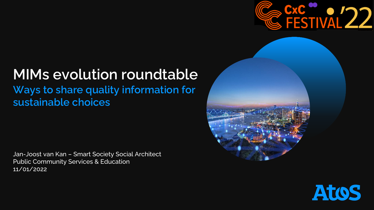

# **MIMs evolution roundtable Ways to share quality information for sustainable choices**

Jan-Joost van Kan – Smart Society Social Architect Public Community Services & Education 11/01/2022



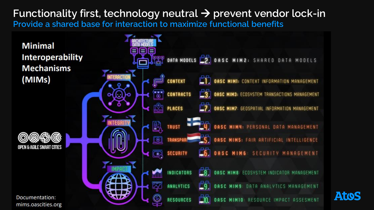### **Functionality first, technology neutral** → **prevent vendor lock-in Provide a shared base for interaction to maximize functional benefits**



**Atos**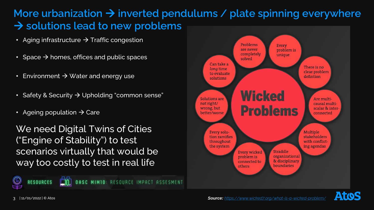# **More urbanization** → **inverted pendulums / plate spinning everywhere** → **solutions lead to new problems**

- Aging infrastructure  $\rightarrow$  Traffic congestion
- Space  $\rightarrow$  homes, offices and public spaces
- Environment  $\rightarrow$  Water and energy use
- Safety & Security → Upholding "common sense"
- Ageing population  $\rightarrow$  Care

We need Digital Twins of Cities ("Engine of Stability") to test scenarios virtually that would be way too costly to test in real life

**MIMIO: RESOURCE IMPACT ASSESMENT** 





**RESOURCES**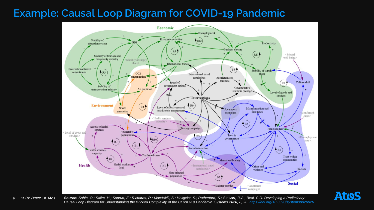## **Example: Causal Loop Diagram for COVID-19 Pandemic**



| 11/01/2022 | © Atos

*Source: Sahin, O.; Salim, H.; Suprun, E.; Richards, R.; MacAskill, S.; Heilgeist, S.; Rutherford, S.; Stewart, R.A.; Beal, C.D. Developing a Preliminary*  Causal Loop Diagram for Understanding the Wicked Complexity of the COVID-19 Pandemic. Systems 2020, 8, 20.<https://doi.org/10.3390/systems8020020> **Atos**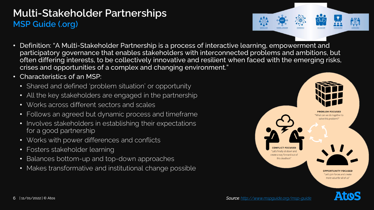## **Multi-Stakeholder Partnerships MSP Guide (.org)**

- 
- Definition: "A Multi-Stakeholder Partnership is a process of interactive learning, empowerment and participatory governance that enables stakeholders with interconnected problems and ambitions, but often differing interests, to be collectively innovative and resilient when faced with the emerging risks, crises and opportunities of a complex and changing environment."
- Characteristics of an MSP:
	- Shared and defined 'problem situation' or opportunity
	- All the key stakeholders are engaged in the partnership
	- Works across different sectors and scales
	- Follows an agreed but dynamic process and timeframe
	- Involves stakeholders in establishing their expectations for a good partnership
	- Works with power differences and conflicts
	- Fosters stakeholder learning
	- Balances bottom-up and top-down approaches
	- Makes transformative and institutional change possible

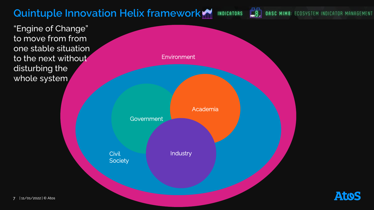# **Quintuple Innovation Helix framework**

"Engine of Change" to move from from one stable situation to the next without disturbing the whole system



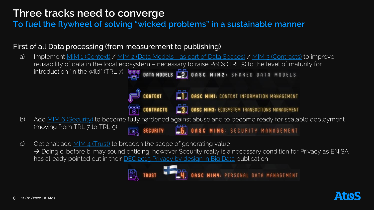## **Three tracks need to converge**

**To fuel the flywheel of solving "wicked problems" in a sustainable manner**

#### First of all Data processing (from measurement to publishing)

- a) Implement [MIM 1 \(Context\)](https://mims.oascities.org/mims/oasc-mim-1-context) / MIM 2 (Data Models [as part of Data Spaces\)](https://mims.oascities.org/mims/oasc-mim-2-data-models) / [MIM 3 \(Contracts\)](https://mims.oascities.org/mims/oasc-mim-3-contracts) to improve reusability of data in the local ecosystem – necessary to raise PoCs (TRL 5) to the level of maturity for introduction "in the wild" (TRL 7) **FEE DATA MODELS** 27 OASC MIM2: SHARED DATA MODELS **CONTEXT CONSC MIMI:** CONTEXT INFORMATION MANAGEMENT **CONTRACTS CONTRACTS C3** OASC MIM3: ECOSYSTEM TRANSACTIONS MANAGEMENT b) Add [MIM 6 \(Security\)](https://mims.oascities.org/mims/oasc-mim6-security) to become fully hardened against abuse and to become ready for scalable deployment (moving from TRL 7 to TRL 9) **SECURITY 60** OASC MIM6: SECURITY MANAGEMENT
- c) Optional: add  $MIM 4$  (Trust) to broaden the scope of generating value → Doing c. before b. may sound enticing, however Security really is a necessary condition for Privacy as ENISA has already pointed out in their **[DEC 2015 Privacy by design in Big Data](https://www.enisa.europa.eu/publications/big-data-protection) publication**



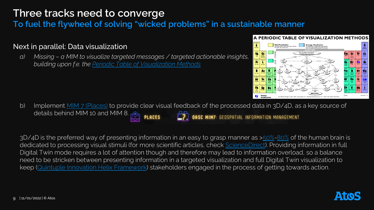## **Three tracks need to converge**

**To fuel the flywheel of solving "wicked problems" in a sustainable manner**

#### Next in parallel: Data visualization

*a) Missing – a MIM to visualize targeted messages / targeted actionable insights, building upon f.e. the [Periodic Table of Visualization Methods](https://www.visual-literacy.org/periodic_table/periodic_table.html)*



b) Implement [MIM 7 \(Places\)](https://mims.oascities.org/mims/oasc-mim7-places) to provide clear visual feedback of the processed data in 3D/4D, as a key source of details behind MIM 10 and MIM 8. **MIM7: GEOSPATIAL INFORMATION MANAGEMENT** 

3D/4D is the preferred way of presenting information in an easy to grasp manner as >[50%](https://www.rochester.edu/pr/Review/V74N4/0402_brainscience.html)[-80%](https://go.galegroup.com/ps/i.do?p=AONE&u=googlescholar&id=GALE%7CA303642825&v=2.1&it=r&sid=AONE&asid=7c026e82) of the human brain is dedicated to processing visual stimuli (for more scientific articles, check [ScienceDirect\)](https://www.sciencedirect.com/topics/engineering/human-visual-system). Providing information in full Digital Twin mode requires a lot of attention though and therefore may lead to information overload, so a balance need to be stricken between presenting information in a targeted visualization and full Digital Twin visualization to keep ([Quintuple Innovation Helix Framework\)](https://en.wikipedia.org/wiki/Quadruple_and_quintuple_innovation_helix_framework) stakeholders engaged in the process of getting towards action.

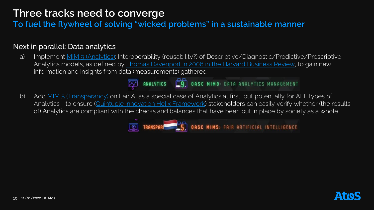## **Three tracks need to converge**

**To fuel the flywheel of solving "wicked problems" in a sustainable manner**

#### Next in parallel: Data analytics

a) Implement [MIM 9 \(Analytics\):](https://mims.oascities.org/mims/oasc-mim9-analytics) Interoperability (reusability?) of Descriptive/Diagnostic/Predictive/Prescriptive Analytics models, as defined by [Thomas Davenport in 2006 in the](https://hbr.org/2006/01/competing-on-analytics) Harvard Business Review, to gain new information and insights from data (measurements) gathered



b) Add [MIM 5 \(Transparancy\)](https://mims.oascities.org/mims/oasc-mim5-transparency) on Fair AI as a special case of Analytics at first, but potentially for ALL types of Analytics - to ensure [\(Quintuple Innovation Helix Framework\)](https://en.wikipedia.org/wiki/Quadruple_and_quintuple_innovation_helix_framework) stakeholders can easily verify whether (the results of) Analytics are compliant with the checks and balances that have been put in place by society as a whole

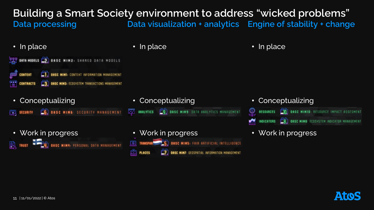## **Building a Smart Society environment to address "wicked problems" Data processing Data visualization + analytics Engine of stability + change**